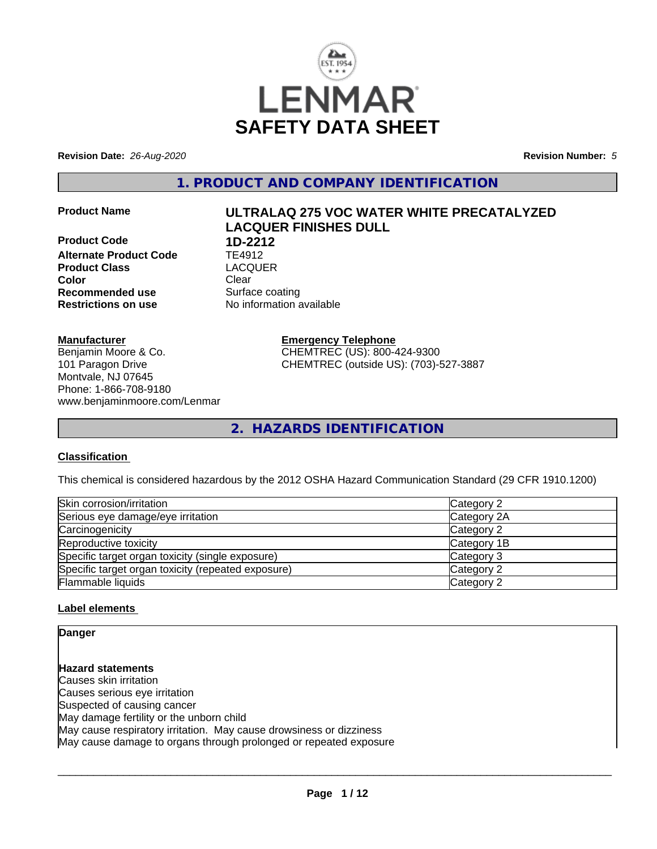

**Revision Date:** *26-Aug-2020* **Revision Number:** *5*

**1. PRODUCT AND COMPANY IDENTIFICATION**

**Product Code 1D-2212**<br>**Alternate Product Code 1E4912 Alternate Product Code TE4912<br>Product Class Code CACQUER Product Class Color** Clear Clear **Recommended use** Surface coating **Restrictions on use** No information available

# **Product Name ULTRALAQ 275 VOC WATER WHITE PRECATALYZED LACQUER FINISHES DULL**

**Manufacturer**

Benjamin Moore & Co. 101 Paragon Drive Montvale, NJ 07645 Phone: 1-866-708-9180 www.benjaminmoore.com/Lenmar **Emergency Telephone** CHEMTREC (US): 800-424-9300 CHEMTREC (outside US): (703)-527-3887

**2. HAZARDS IDENTIFICATION**

# **Classification**

This chemical is considered hazardous by the 2012 OSHA Hazard Communication Standard (29 CFR 1910.1200)

| Skin corrosion/irritation                          | Category 2  |
|----------------------------------------------------|-------------|
| Serious eye damage/eye irritation                  | Category 2A |
| Carcinogenicity                                    | Category 2  |
| Reproductive toxicity                              | Category 1B |
| Specific target organ toxicity (single exposure)   | Category 3  |
| Specific target organ toxicity (repeated exposure) | Category 2  |
| Flammable liquids                                  | Category 2  |

# **Label elements**

**Danger**

**Hazard statements** Causes skin irritation Causes serious eye irritation Suspected of causing cancer May damage fertility or the unborn child May cause respiratory irritation. May cause drowsiness or dizziness May cause damage to organs through prolonged or repeated exposure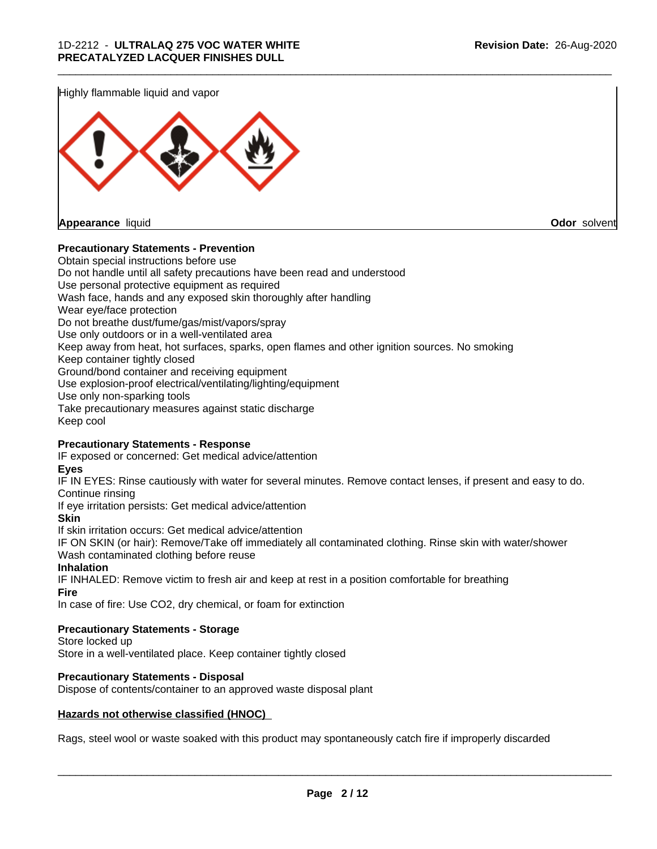Highly flammable liquid and vapor



# **Precautionary Statements - Prevention**

Obtain special instructions before use Do not handle until all safety precautions have been read and understood Use personal protective equipment as required Wash face, hands and any exposed skin thoroughly after handling Wear eye/face protection Do not breathe dust/fume/gas/mist/vapors/spray Use only outdoors or in a well-ventilated area Keep away from heat, hot surfaces, sparks, open flames and other ignition sources. No smoking Keep container tightly closed Ground/bond container and receiving equipment Use explosion-proof electrical/ventilating/lighting/equipment Use only non-sparking tools Take precautionary measures against static discharge Keep cool

\_\_\_\_\_\_\_\_\_\_\_\_\_\_\_\_\_\_\_\_\_\_\_\_\_\_\_\_\_\_\_\_\_\_\_\_\_\_\_\_\_\_\_\_\_\_\_\_\_\_\_\_\_\_\_\_\_\_\_\_\_\_\_\_\_\_\_\_\_\_\_\_\_\_\_\_\_\_\_\_\_\_\_\_\_\_\_\_\_\_\_\_\_

## **Precautionary Statements - Response**

IF exposed or concerned: Get medical advice/attention

**Eyes**

IF IN EYES: Rinse cautiously with water for several minutes. Remove contact lenses, if present and easy to do. Continue rinsing

If eye irritation persists: Get medical advice/attention

**Skin**

If skin irritation occurs: Get medical advice/attention

IF ON SKIN (or hair): Remove/Take off immediately all contaminated clothing. Rinse skin with water/shower Wash contaminated clothing before reuse

#### **Inhalation**

IF INHALED: Remove victim to fresh air and keep at rest in a position comfortable for breathing **Fire**

In case of fire: Use CO2, dry chemical, or foam for extinction

## **Precautionary Statements - Storage**

Store locked up Store in a well-ventilated place. Keep container tightly closed

## **Precautionary Statements - Disposal**

Dispose of contents/container to an approved waste disposal plant

## **Hazards not otherwise classified (HNOC)**

Rags, steel wool or waste soaked with this product may spontaneously catch fire if improperly discarded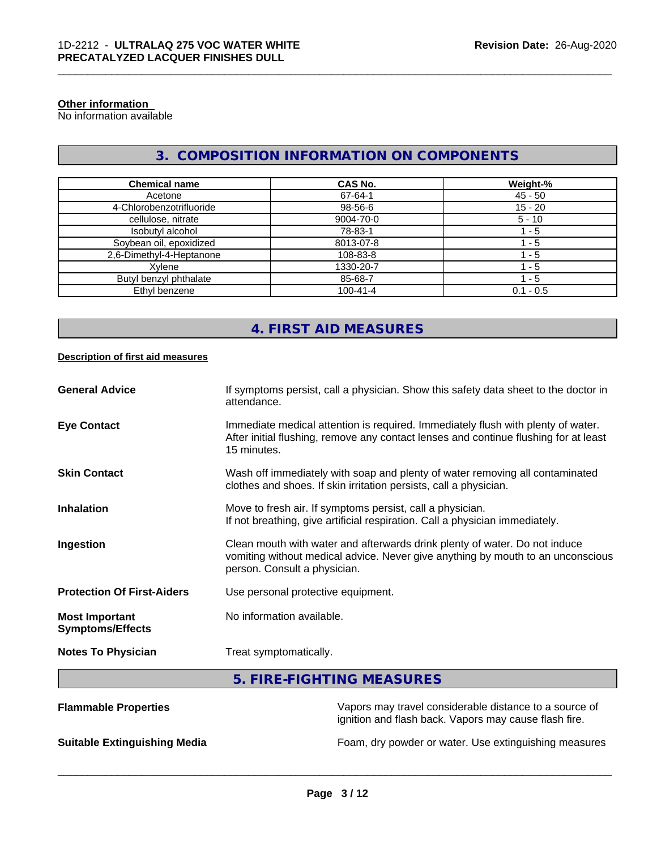## **Other information**

No information available

# **3. COMPOSITION INFORMATION ON COMPONENTS**

\_\_\_\_\_\_\_\_\_\_\_\_\_\_\_\_\_\_\_\_\_\_\_\_\_\_\_\_\_\_\_\_\_\_\_\_\_\_\_\_\_\_\_\_\_\_\_\_\_\_\_\_\_\_\_\_\_\_\_\_\_\_\_\_\_\_\_\_\_\_\_\_\_\_\_\_\_\_\_\_\_\_\_\_\_\_\_\_\_\_\_\_\_

| <b>Chemical name</b>     | CAS No.        | Weight-%    |
|--------------------------|----------------|-------------|
| Acetone                  | 67-64-1        | $45 - 50$   |
| 4-Chlorobenzotrifluoride | 98-56-6        | $15 - 20$   |
| cellulose, nitrate       | 9004-70-0      | $5 - 10$    |
| Isobutyl alcohol         | 78-83-1        | - 5         |
| Soybean oil, epoxidized  | 8013-07-8      | - 5         |
| 2,6-Dimethyl-4-Heptanone | 108-83-8       | - 5         |
| Xvlene                   | 1330-20-7      | - 5         |
| Butyl benzyl phthalate   | 85-68-7        | 1 - 5       |
| Ethyl benzene            | $100 - 41 - 4$ | $0.1 - 0.5$ |

# **4. FIRST AID MEASURES**

#### **Description of first aid measures**

| <b>General Advice</b>                            | If symptoms persist, call a physician. Show this safety data sheet to the doctor in<br>attendance.                                                                                            |
|--------------------------------------------------|-----------------------------------------------------------------------------------------------------------------------------------------------------------------------------------------------|
| <b>Eye Contact</b>                               | Immediate medical attention is required. Immediately flush with plenty of water.<br>After initial flushing, remove any contact lenses and continue flushing for at least<br>15 minutes.       |
| <b>Skin Contact</b>                              | Wash off immediately with soap and plenty of water removing all contaminated<br>clothes and shoes. If skin irritation persists, call a physician.                                             |
| <b>Inhalation</b>                                | Move to fresh air. If symptoms persist, call a physician.<br>If not breathing, give artificial respiration. Call a physician immediately.                                                     |
| Ingestion                                        | Clean mouth with water and afterwards drink plenty of water. Do not induce<br>vomiting without medical advice. Never give anything by mouth to an unconscious<br>person. Consult a physician. |
| <b>Protection Of First-Aiders</b>                | Use personal protective equipment.                                                                                                                                                            |
| <b>Most Important</b><br><b>Symptoms/Effects</b> | No information available.                                                                                                                                                                     |
| <b>Notes To Physician</b>                        | Treat symptomatically.                                                                                                                                                                        |

# **5. FIRE-FIGHTING MEASURES**

| <b>Flammable Properties</b>         | Vapors may travel considerable distance to a source of<br>ignition and flash back. Vapors may cause flash fire. |
|-------------------------------------|-----------------------------------------------------------------------------------------------------------------|
| <b>Suitable Extinguishing Media</b> | Foam, dry powder or water. Use extinguishing measures                                                           |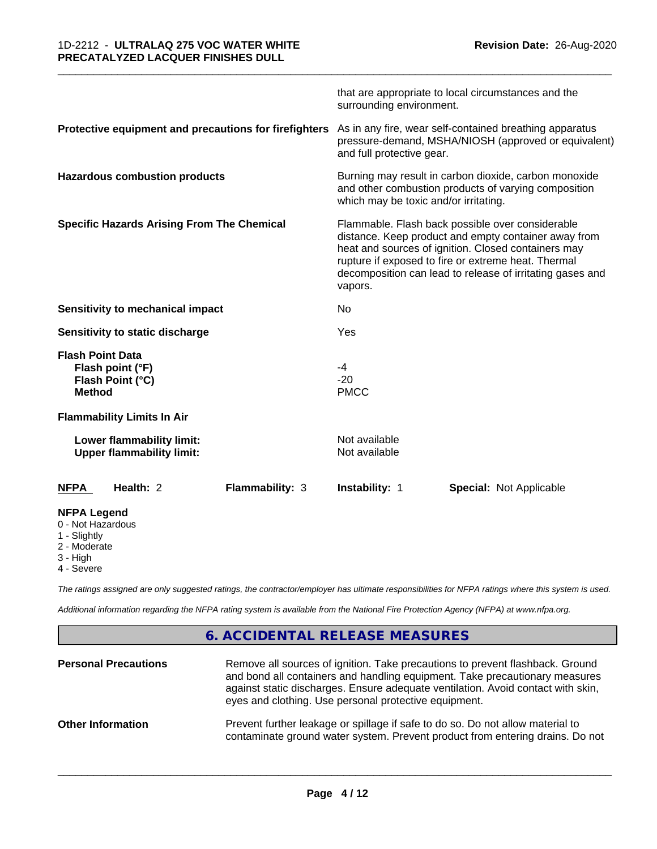|                                                                                     |                 | surrounding environment.                                                                                                                                                                                                                                                                       | that are appropriate to local circumstances and the                                                             |  |
|-------------------------------------------------------------------------------------|-----------------|------------------------------------------------------------------------------------------------------------------------------------------------------------------------------------------------------------------------------------------------------------------------------------------------|-----------------------------------------------------------------------------------------------------------------|--|
| Protective equipment and precautions for firefighters                               |                 | and full protective gear.                                                                                                                                                                                                                                                                      | As in any fire, wear self-contained breathing apparatus<br>pressure-demand, MSHA/NIOSH (approved or equivalent) |  |
| <b>Hazardous combustion products</b>                                                |                 | Burning may result in carbon dioxide, carbon monoxide<br>and other combustion products of varying composition<br>which may be toxic and/or irritating.                                                                                                                                         |                                                                                                                 |  |
| <b>Specific Hazards Arising From The Chemical</b>                                   |                 | Flammable. Flash back possible over considerable<br>distance. Keep product and empty container away from<br>heat and sources of ignition. Closed containers may<br>rupture if exposed to fire or extreme heat. Thermal<br>decomposition can lead to release of irritating gases and<br>vapors. |                                                                                                                 |  |
| Sensitivity to mechanical impact                                                    |                 | No                                                                                                                                                                                                                                                                                             |                                                                                                                 |  |
| Sensitivity to static discharge                                                     |                 | Yes                                                                                                                                                                                                                                                                                            |                                                                                                                 |  |
| <b>Flash Point Data</b><br>Flash point (°F)<br>Flash Point (°C)<br><b>Method</b>    |                 | -4<br>$-20$<br><b>PMCC</b>                                                                                                                                                                                                                                                                     |                                                                                                                 |  |
| <b>Flammability Limits In Air</b>                                                   |                 |                                                                                                                                                                                                                                                                                                |                                                                                                                 |  |
| Lower flammability limit:<br><b>Upper flammability limit:</b>                       |                 | Not available<br>Not available                                                                                                                                                                                                                                                                 |                                                                                                                 |  |
| Health: 2<br><b>NFPA</b>                                                            | Flammability: 3 | Instability: 1                                                                                                                                                                                                                                                                                 | <b>Special: Not Applicable</b>                                                                                  |  |
| <b>NFPA Legend</b><br>0 - Not Hazardous<br>1 - Slightly<br>2 - Moderate<br>3 - High |                 |                                                                                                                                                                                                                                                                                                |                                                                                                                 |  |

\_\_\_\_\_\_\_\_\_\_\_\_\_\_\_\_\_\_\_\_\_\_\_\_\_\_\_\_\_\_\_\_\_\_\_\_\_\_\_\_\_\_\_\_\_\_\_\_\_\_\_\_\_\_\_\_\_\_\_\_\_\_\_\_\_\_\_\_\_\_\_\_\_\_\_\_\_\_\_\_\_\_\_\_\_\_\_\_\_\_\_\_\_

4 - Severe

*The ratings assigned are only suggested ratings, the contractor/employer has ultimate responsibilities for NFPA ratings where this system is used.*

*Additional information regarding the NFPA rating system is available from the National Fire Protection Agency (NFPA) at www.nfpa.org.*

# **6. ACCIDENTAL RELEASE MEASURES**

| <b>Personal Precautions</b> | Remove all sources of ignition. Take precautions to prevent flashback. Ground<br>and bond all containers and handling equipment. Take precautionary measures<br>against static discharges. Ensure adequate ventilation. Avoid contact with skin,<br>eyes and clothing. Use personal protective equipment. |
|-----------------------------|-----------------------------------------------------------------------------------------------------------------------------------------------------------------------------------------------------------------------------------------------------------------------------------------------------------|
| <b>Other Information</b>    | Prevent further leakage or spillage if safe to do so. Do not allow material to<br>contaminate ground water system. Prevent product from entering drains. Do not                                                                                                                                           |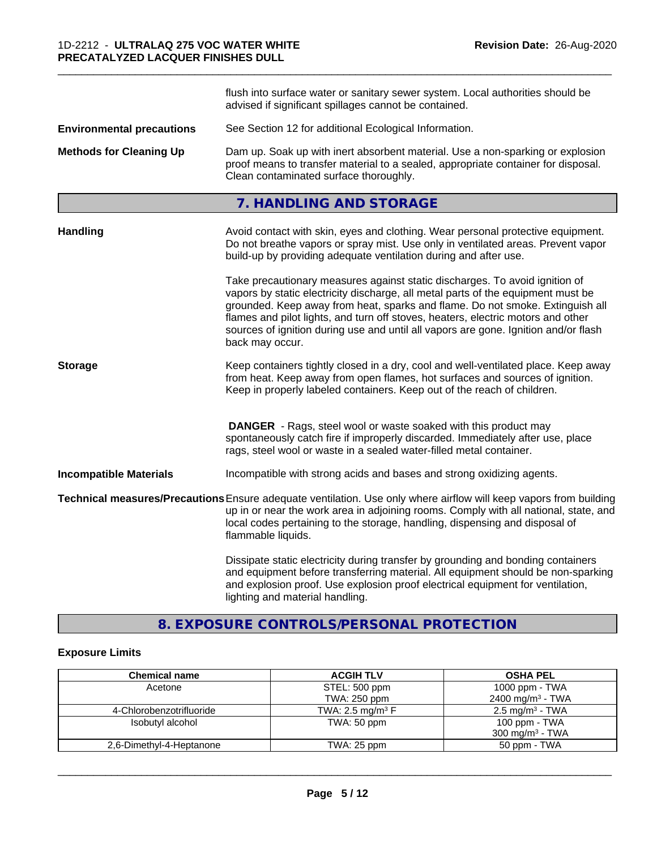|                                  | flush into surface water or sanitary sewer system. Local authorities should be<br>advised if significant spillages cannot be contained.                                                                                                                                                                                                                                                                                                        |  |  |
|----------------------------------|------------------------------------------------------------------------------------------------------------------------------------------------------------------------------------------------------------------------------------------------------------------------------------------------------------------------------------------------------------------------------------------------------------------------------------------------|--|--|
| <b>Environmental precautions</b> | See Section 12 for additional Ecological Information.                                                                                                                                                                                                                                                                                                                                                                                          |  |  |
| <b>Methods for Cleaning Up</b>   | Dam up. Soak up with inert absorbent material. Use a non-sparking or explosion<br>proof means to transfer material to a sealed, appropriate container for disposal.<br>Clean contaminated surface thoroughly.                                                                                                                                                                                                                                  |  |  |
|                                  | 7. HANDLING AND STORAGE                                                                                                                                                                                                                                                                                                                                                                                                                        |  |  |
| Handling                         | Avoid contact with skin, eyes and clothing. Wear personal protective equipment.<br>Do not breathe vapors or spray mist. Use only in ventilated areas. Prevent vapor<br>build-up by providing adequate ventilation during and after use.                                                                                                                                                                                                        |  |  |
|                                  | Take precautionary measures against static discharges. To avoid ignition of<br>vapors by static electricity discharge, all metal parts of the equipment must be<br>grounded. Keep away from heat, sparks and flame. Do not smoke. Extinguish all<br>flames and pilot lights, and turn off stoves, heaters, electric motors and other<br>sources of ignition during use and until all vapors are gone. Ignition and/or flash<br>back may occur. |  |  |
| <b>Storage</b>                   | Keep containers tightly closed in a dry, cool and well-ventilated place. Keep away<br>from heat. Keep away from open flames, hot surfaces and sources of ignition.<br>Keep in properly labeled containers. Keep out of the reach of children.                                                                                                                                                                                                  |  |  |
|                                  | <b>DANGER</b> - Rags, steel wool or waste soaked with this product may<br>spontaneously catch fire if improperly discarded. Immediately after use, place<br>rags, steel wool or waste in a sealed water-filled metal container.                                                                                                                                                                                                                |  |  |
| <b>Incompatible Materials</b>    | Incompatible with strong acids and bases and strong oxidizing agents.                                                                                                                                                                                                                                                                                                                                                                          |  |  |
|                                  | Technical measures/Precautions Ensure adequate ventilation. Use only where airflow will keep vapors from building<br>up in or near the work area in adjoining rooms. Comply with all national, state, and<br>local codes pertaining to the storage, handling, dispensing and disposal of<br>flammable liquids.                                                                                                                                 |  |  |
|                                  | Dissipate static electricity during transfer by grounding and bonding containers<br>and equipment before transferring material. All equipment should be non-sparking<br>and explosion proof. Use explosion proof electrical equipment for ventilation,<br>lighting and material handling.                                                                                                                                                      |  |  |

\_\_\_\_\_\_\_\_\_\_\_\_\_\_\_\_\_\_\_\_\_\_\_\_\_\_\_\_\_\_\_\_\_\_\_\_\_\_\_\_\_\_\_\_\_\_\_\_\_\_\_\_\_\_\_\_\_\_\_\_\_\_\_\_\_\_\_\_\_\_\_\_\_\_\_\_\_\_\_\_\_\_\_\_\_\_\_\_\_\_\_\_\_

# **8. EXPOSURE CONTROLS/PERSONAL PROTECTION**

# **Exposure Limits**

| <b>Chemical name</b>     | <b>ACGIH TLV</b>               | <b>OSHA PEL</b>              |
|--------------------------|--------------------------------|------------------------------|
| Acetone                  | STEL: 500 ppm                  | 1000 ppm - $TWA$             |
|                          | TWA: 250 ppm                   | 2400 mg/m <sup>3</sup> - TWA |
| 4-Chlorobenzotrifluoride | TWA: 2.5 mg/m <sup>3</sup> $F$ | $2.5 \text{ mg/m}^3$ - TWA   |
| Isobutyl alcohol         | TWA: 50 ppm                    | 100 ppm - TWA                |
|                          |                                | 300 mg/m <sup>3</sup> - TWA  |
| 2,6-Dimethyl-4-Heptanone | TWA: 25 ppm                    | 50 ppm - TWA                 |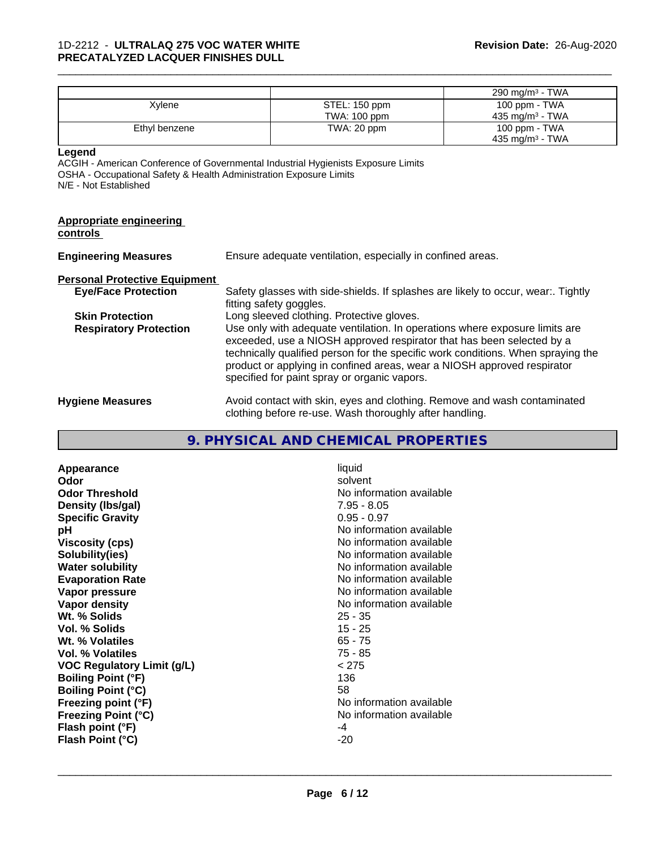|                                                                                                       |                                                                          |                                                                                                                                                                                                                                                                                                                                                                     | 290 mg/m <sup>3</sup> - TWA |
|-------------------------------------------------------------------------------------------------------|--------------------------------------------------------------------------|---------------------------------------------------------------------------------------------------------------------------------------------------------------------------------------------------------------------------------------------------------------------------------------------------------------------------------------------------------------------|-----------------------------|
| Xylene                                                                                                |                                                                          | STEL: 150 ppm                                                                                                                                                                                                                                                                                                                                                       | 100 ppm - TWA               |
|                                                                                                       |                                                                          | TWA: 100 ppm                                                                                                                                                                                                                                                                                                                                                        | 435 mg/m $3$ - TWA          |
| Ethyl benzene                                                                                         |                                                                          | TWA: 20 ppm                                                                                                                                                                                                                                                                                                                                                         | 100 ppm - TWA               |
|                                                                                                       |                                                                          |                                                                                                                                                                                                                                                                                                                                                                     | 435 mg/m $3$ - TWA          |
| Legend<br>OSHA - Occupational Safety & Health Administration Exposure Limits<br>N/E - Not Established |                                                                          | ACGIH - American Conference of Governmental Industrial Hygienists Exposure Limits                                                                                                                                                                                                                                                                                   |                             |
| <b>Appropriate engineering</b><br>controls                                                            |                                                                          |                                                                                                                                                                                                                                                                                                                                                                     |                             |
| <b>Engineering Measures</b>                                                                           | Ensure adequate ventilation, especially in confined areas.               |                                                                                                                                                                                                                                                                                                                                                                     |                             |
| <b>Personal Protective Equipment</b>                                                                  |                                                                          |                                                                                                                                                                                                                                                                                                                                                                     |                             |
| <b>Eye/Face Protection</b>                                                                            |                                                                          | Safety glasses with side-shields. If splashes are likely to occur, wear:. Tightly<br>fitting safety goggles.                                                                                                                                                                                                                                                        |                             |
| <b>Skin Protection</b>                                                                                |                                                                          | Long sleeved clothing. Protective gloves.                                                                                                                                                                                                                                                                                                                           |                             |
| <b>Respiratory Protection</b>                                                                         |                                                                          | Use only with adequate ventilation. In operations where exposure limits are<br>exceeded, use a NIOSH approved respirator that has been selected by a<br>technically qualified person for the specific work conditions. When spraying the<br>product or applying in confined areas, wear a NIOSH approved respirator<br>specified for paint spray or organic vapors. |                             |
| <b>Hygiene Measures</b>                                                                               | Avoid contact with skin, eyes and clothing. Remove and wash contaminated |                                                                                                                                                                                                                                                                                                                                                                     |                             |

clothing before re-use. Wash thoroughly after handling.

\_\_\_\_\_\_\_\_\_\_\_\_\_\_\_\_\_\_\_\_\_\_\_\_\_\_\_\_\_\_\_\_\_\_\_\_\_\_\_\_\_\_\_\_\_\_\_\_\_\_\_\_\_\_\_\_\_\_\_\_\_\_\_\_\_\_\_\_\_\_\_\_\_\_\_\_\_\_\_\_\_\_\_\_\_\_\_\_\_\_\_\_\_

# **9. PHYSICAL AND CHEMICAL PROPERTIES**

| Appearance                        | liquid                   |
|-----------------------------------|--------------------------|
| Odor                              | solvent                  |
| <b>Odor Threshold</b>             | No information available |
| Density (Ibs/gal)                 | $7.95 - 8.05$            |
| <b>Specific Gravity</b>           | $0.95 - 0.97$            |
| рH                                | No information available |
| <b>Viscosity (cps)</b>            | No information available |
| Solubility(ies)                   | No information available |
| <b>Water solubility</b>           | No information available |
| <b>Evaporation Rate</b>           | No information available |
| Vapor pressure                    | No information available |
| Vapor density                     | No information available |
| Wt. % Solids                      | $25 - 35$                |
| Vol. % Solids                     | $15 - 25$                |
| Wt. % Volatiles                   | $65 - 75$                |
| Vol. % Volatiles                  | $75 - 85$                |
| <b>VOC Regulatory Limit (g/L)</b> | < 275                    |
| <b>Boiling Point (°F)</b>         | 136                      |
| <b>Boiling Point (°C)</b>         | 58                       |
| Freezing point (°F)               | No information available |
| <b>Freezing Point (°C)</b>        | No information available |
| Flash point (°F)                  | -4                       |
| Flash Point (°C)                  | $-20$                    |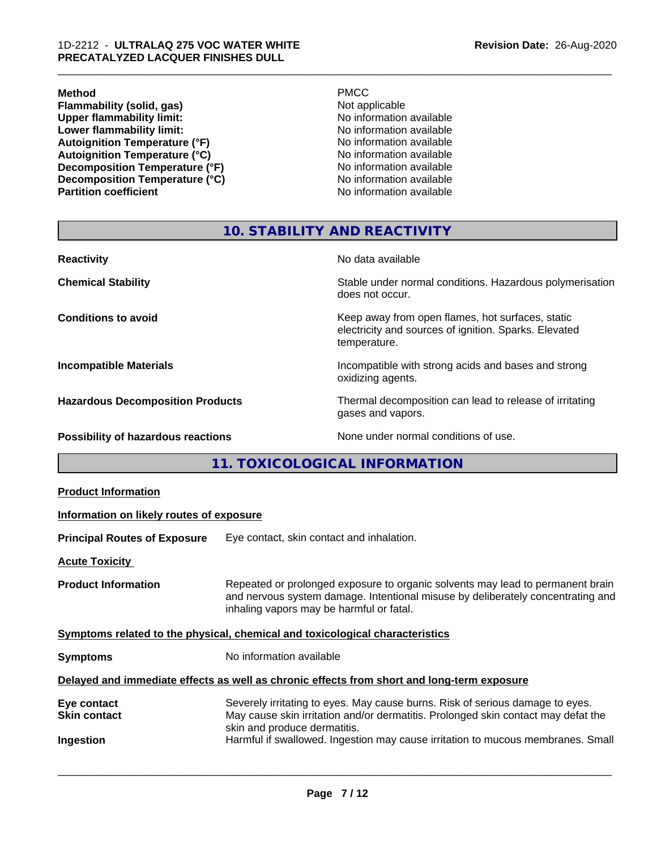#### **Method** PMCC

**Flammability (solid, gas)**<br> **Commability limit:**<br>
Upper flammability limit:<br>
No information available **Upper flammability limit:**<br> **Lower flammability limit:**<br>
No information available<br>
No information available **Lower flammability limit:**<br> **Autoignition Temperature (°F)**<br>
No information available<br>
No information available Autoignition Temperature (°F)<br>
Autoignition Temperature (°C)<br>
No information available **Autoignition Temperature (°C) Decomposition Temperature (°F)**<br> **Decomposition Temperature (°C)** No information available **Decomposition Temperature (°C)**<br>Partition coefficient

**No information available** 

\_\_\_\_\_\_\_\_\_\_\_\_\_\_\_\_\_\_\_\_\_\_\_\_\_\_\_\_\_\_\_\_\_\_\_\_\_\_\_\_\_\_\_\_\_\_\_\_\_\_\_\_\_\_\_\_\_\_\_\_\_\_\_\_\_\_\_\_\_\_\_\_\_\_\_\_\_\_\_\_\_\_\_\_\_\_\_\_\_\_\_\_\_

# **10. STABILITY AND REACTIVITY**

| <b>Reactivity</b>                         | No data available                                                                                                         |
|-------------------------------------------|---------------------------------------------------------------------------------------------------------------------------|
| <b>Chemical Stability</b>                 | Stable under normal conditions. Hazardous polymerisation<br>does not occur.                                               |
| <b>Conditions to avoid</b>                | Keep away from open flames, hot surfaces, static<br>electricity and sources of ignition. Sparks. Elevated<br>temperature. |
| <b>Incompatible Materials</b>             | Incompatible with strong acids and bases and strong<br>oxidizing agents.                                                  |
| <b>Hazardous Decomposition Products</b>   | Thermal decomposition can lead to release of irritating<br>gases and vapors.                                              |
| <b>Possibility of hazardous reactions</b> | None under normal conditions of use.                                                                                      |

**11. TOXICOLOGICAL INFORMATION**

| <b>Product Information</b>                                                                 |                                                                                                                                                                                                               |  |  |  |
|--------------------------------------------------------------------------------------------|---------------------------------------------------------------------------------------------------------------------------------------------------------------------------------------------------------------|--|--|--|
| Information on likely routes of exposure                                                   |                                                                                                                                                                                                               |  |  |  |
| <b>Principal Routes of Exposure</b>                                                        | Eye contact, skin contact and inhalation.                                                                                                                                                                     |  |  |  |
| <b>Acute Toxicity</b>                                                                      |                                                                                                                                                                                                               |  |  |  |
| <b>Product Information</b>                                                                 | Repeated or prolonged exposure to organic solvents may lead to permanent brain<br>and nervous system damage. Intentional misuse by deliberately concentrating and<br>inhaling vapors may be harmful or fatal. |  |  |  |
| Symptoms related to the physical, chemical and toxicological characteristics               |                                                                                                                                                                                                               |  |  |  |
| <b>Symptoms</b>                                                                            | No information available                                                                                                                                                                                      |  |  |  |
| Delayed and immediate effects as well as chronic effects from short and long-term exposure |                                                                                                                                                                                                               |  |  |  |
| Eye contact<br><b>Skin contact</b>                                                         | Severely irritating to eyes. May cause burns. Risk of serious damage to eyes.<br>May cause skin irritation and/or dermatitis. Prolonged skin contact may defat the<br>skin and produce dermatitis.            |  |  |  |
| Ingestion                                                                                  | Harmful if swallowed. Ingestion may cause irritation to mucous membranes. Small                                                                                                                               |  |  |  |
|                                                                                            |                                                                                                                                                                                                               |  |  |  |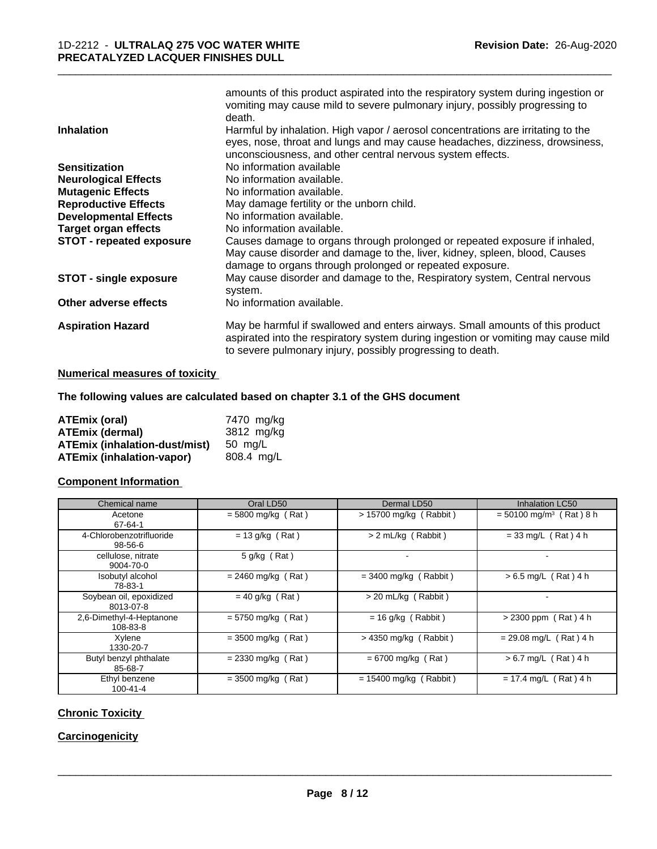|                                 | amounts of this product aspirated into the respiratory system during ingestion or<br>vomiting may cause mild to severe pulmonary injury, possibly progressing to |
|---------------------------------|------------------------------------------------------------------------------------------------------------------------------------------------------------------|
|                                 | death.                                                                                                                                                           |
| <b>Inhalation</b>               | Harmful by inhalation. High vapor / aerosol concentrations are irritating to the                                                                                 |
|                                 | eyes, nose, throat and lungs and may cause headaches, dizziness, drowsiness,                                                                                     |
|                                 | unconsciousness, and other central nervous system effects.                                                                                                       |
| <b>Sensitization</b>            | No information available                                                                                                                                         |
| <b>Neurological Effects</b>     | No information available.                                                                                                                                        |
| <b>Mutagenic Effects</b>        | No information available.                                                                                                                                        |
| <b>Reproductive Effects</b>     | May damage fertility or the unborn child.                                                                                                                        |
| <b>Developmental Effects</b>    | No information available.                                                                                                                                        |
| Target organ effects            | No information available.                                                                                                                                        |
| <b>STOT - repeated exposure</b> | Causes damage to organs through prolonged or repeated exposure if inhaled,                                                                                       |
|                                 | May cause disorder and damage to the, liver, kidney, spleen, blood, Causes                                                                                       |
|                                 | damage to organs through prolonged or repeated exposure.                                                                                                         |
| <b>STOT - single exposure</b>   | May cause disorder and damage to the, Respiratory system, Central nervous<br>system.                                                                             |
| Other adverse effects           | No information available.                                                                                                                                        |
| <b>Aspiration Hazard</b>        | May be harmful if swallowed and enters airways. Small amounts of this product                                                                                    |
|                                 | aspirated into the respiratory system during ingestion or vomiting may cause mild                                                                                |
|                                 | to severe pulmonary injury, possibly progressing to death.                                                                                                       |

# **Numerical measures of toxicity**

# **The following values are calculated based on chapter 3.1 of the GHS document**

| ATEmix (oral)                        | 7470 mg/kg |
|--------------------------------------|------------|
| <b>ATEmix (dermal)</b>               | 3812 mg/kg |
| <b>ATEmix (inhalation-dust/mist)</b> | 50 ma/L    |
| <b>ATEmix (inhalation-vapor)</b>     | 808.4 mg/L |

# **Component Information**

| Chemical name                        | Oral LD50            | Dermal LD50              | <b>Inhalation LC50</b>                |
|--------------------------------------|----------------------|--------------------------|---------------------------------------|
| Acetone<br>67-64-1                   | $= 5800$ mg/kg (Rat) | $> 15700$ mg/kg (Rabbit) | $= 50100$ mg/m <sup>3</sup> (Rat) 8 h |
| 4-Chlorobenzotrifluoride<br>98-56-6  | $= 13$ g/kg (Rat)    | > 2 mL/kg (Rabbit)       | $= 33$ mg/L (Rat) 4 h                 |
| cellulose, nitrate<br>9004-70-0      | $5$ g/kg (Rat)       |                          |                                       |
| Isobutyl alcohol<br>78-83-1          | $= 2460$ mg/kg (Rat) | $=$ 3400 mg/kg (Rabbit)  | $> 6.5$ mg/L (Rat) 4 h                |
| Soybean oil, epoxidized<br>8013-07-8 | $= 40$ g/kg (Rat)    | > 20 mL/kg (Rabbit)      |                                       |
| 2,6-Dimethyl-4-Heptanone<br>108-83-8 | $= 5750$ mg/kg (Rat) | $= 16$ g/kg (Rabbit)     | $> 2300$ ppm (Rat) 4 h                |
| Xylene<br>1330-20-7                  | $= 3500$ mg/kg (Rat) | $>$ 4350 mg/kg (Rabbit)  | $= 29.08$ mg/L (Rat) 4 h              |
| Butyl benzyl phthalate<br>85-68-7    | $= 2330$ mg/kg (Rat) | $= 6700$ mg/kg (Rat)     | $> 6.7$ mg/L (Rat) 4 h                |
| Ethyl benzene<br>$100 - 41 - 4$      | $=$ 3500 mg/kg (Rat) | $= 15400$ mg/kg (Rabbit) | $= 17.4$ mg/L (Rat) 4 h               |

# **Chronic Toxicity**

# **Carcinogenicity**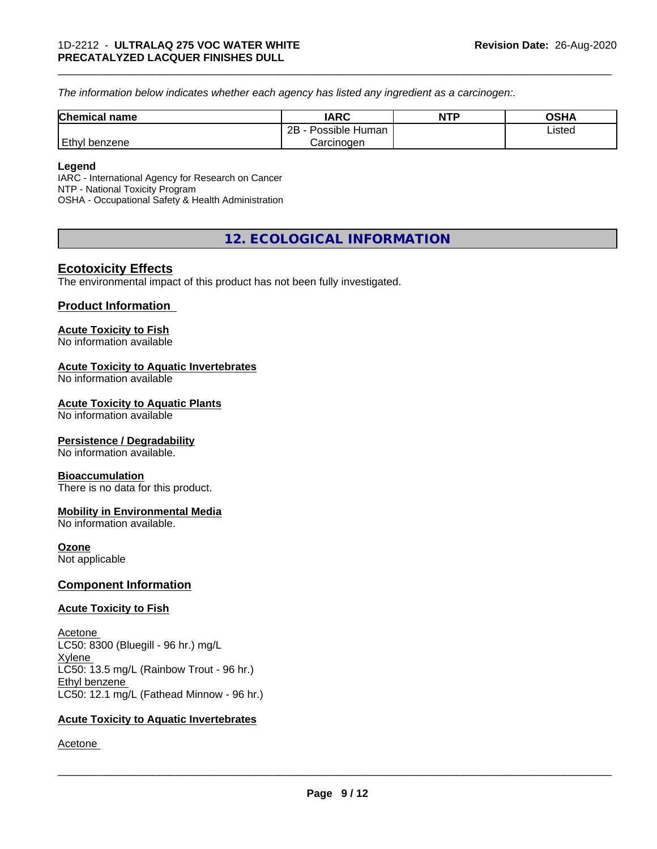*The information below indicateswhether each agency has listed any ingredient as a carcinogen:.*

| Chemical<br>`name  | <b>IARC</b>                  | <b>NTP</b> | OSHA   |  |
|--------------------|------------------------------|------------|--------|--|
|                    | .<br>2B<br>Possible<br>Human |            | Listed |  |
| Ethyl<br>l benzene | Carcinogen                   |            |        |  |

\_\_\_\_\_\_\_\_\_\_\_\_\_\_\_\_\_\_\_\_\_\_\_\_\_\_\_\_\_\_\_\_\_\_\_\_\_\_\_\_\_\_\_\_\_\_\_\_\_\_\_\_\_\_\_\_\_\_\_\_\_\_\_\_\_\_\_\_\_\_\_\_\_\_\_\_\_\_\_\_\_\_\_\_\_\_\_\_\_\_\_\_\_

#### **Legend**

IARC - International Agency for Research on Cancer NTP - National Toxicity Program OSHA - Occupational Safety & Health Administration

# **12. ECOLOGICAL INFORMATION**

# **Ecotoxicity Effects**

The environmental impact of this product has not been fully investigated.

# **Product Information**

## **Acute Toxicity to Fish**

No information available

## **Acute Toxicity to Aquatic Invertebrates**

No information available

## **Acute Toxicity to Aquatic Plants**

No information available

## **Persistence / Degradability**

No information available.

## **Bioaccumulation**

There is no data for this product.

## **Mobility in Environmental Media**

No information available.

## **Ozone**

Not applicable

# **Component Information**

## **Acute Toxicity to Fish**

Acetone LC50: 8300 (Bluegill - 96 hr.) mg/L Xylene LC50: 13.5 mg/L (Rainbow Trout - 96 hr.) Ethyl benzene LC50: 12.1 mg/L (Fathead Minnow - 96 hr.)

## **Acute Toxicity to Aquatic Invertebrates**

Acetone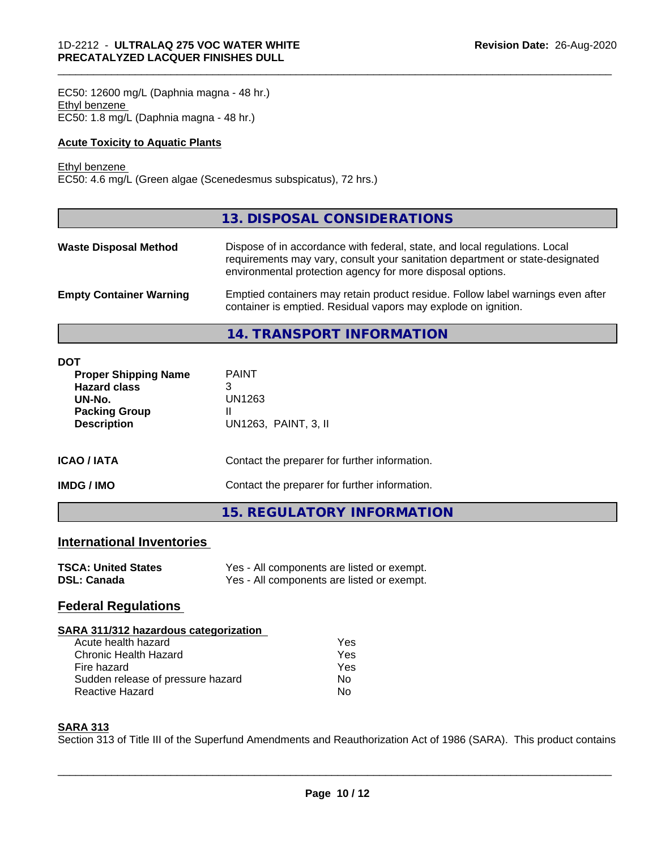EC50: 12600 mg/L (Daphnia magna - 48 hr.) Ethyl benzene EC50: 1.8 mg/L (Daphnia magna - 48 hr.)

## **Acute Toxicity to Aquatic Plants**

#### Ethyl benzene

EC50: 4.6 mg/L (Green algae (Scenedesmus subspicatus), 72 hrs.)

|                                | 13. DISPOSAL CONSIDERATIONS                                                                                                                                                                                               |
|--------------------------------|---------------------------------------------------------------------------------------------------------------------------------------------------------------------------------------------------------------------------|
| <b>Waste Disposal Method</b>   | Dispose of in accordance with federal, state, and local regulations. Local<br>requirements may vary, consult your sanitation department or state-designated<br>environmental protection agency for more disposal options. |
| <b>Empty Container Warning</b> | Emptied containers may retain product residue. Follow label warnings even after<br>container is emptied. Residual vapors may explode on ignition.                                                                         |

\_\_\_\_\_\_\_\_\_\_\_\_\_\_\_\_\_\_\_\_\_\_\_\_\_\_\_\_\_\_\_\_\_\_\_\_\_\_\_\_\_\_\_\_\_\_\_\_\_\_\_\_\_\_\_\_\_\_\_\_\_\_\_\_\_\_\_\_\_\_\_\_\_\_\_\_\_\_\_\_\_\_\_\_\_\_\_\_\_\_\_\_\_

**14. TRANSPORT INFORMATION**

| <b>DOT</b><br><b>Proper Shipping Name</b><br><b>Hazard class</b><br>UN-No.<br><b>Packing Group</b><br><b>Description</b> | <b>PAINT</b><br>3<br>UN1263<br>Ш<br>UN1263, PAINT, 3, II |
|--------------------------------------------------------------------------------------------------------------------------|----------------------------------------------------------|
| <b>ICAO/IATA</b>                                                                                                         | Contact the preparer for further information.            |
| <b>IMDG/IMO</b>                                                                                                          | Contact the preparer for further information.            |
|                                                                                                                          | <b>15. REGULATORY INFORMATION</b>                        |

# **International Inventories**

| <b>TSCA: United States</b> | Yes - All components are listed or exempt. |
|----------------------------|--------------------------------------------|
| <b>DSL: Canada</b>         | Yes - All components are listed or exempt. |

# **Federal Regulations**

| SARA 311/312 hazardous categorization |     |  |
|---------------------------------------|-----|--|
| Acute health hazard                   | Yes |  |
| Chronic Health Hazard                 | Yes |  |
| Fire hazard                           | Yes |  |
| Sudden release of pressure hazard     | No. |  |
| <b>Reactive Hazard</b>                | No  |  |

## **SARA 313**

Section 313 of Title III of the Superfund Amendments and Reauthorization Act of 1986 (SARA). This product contains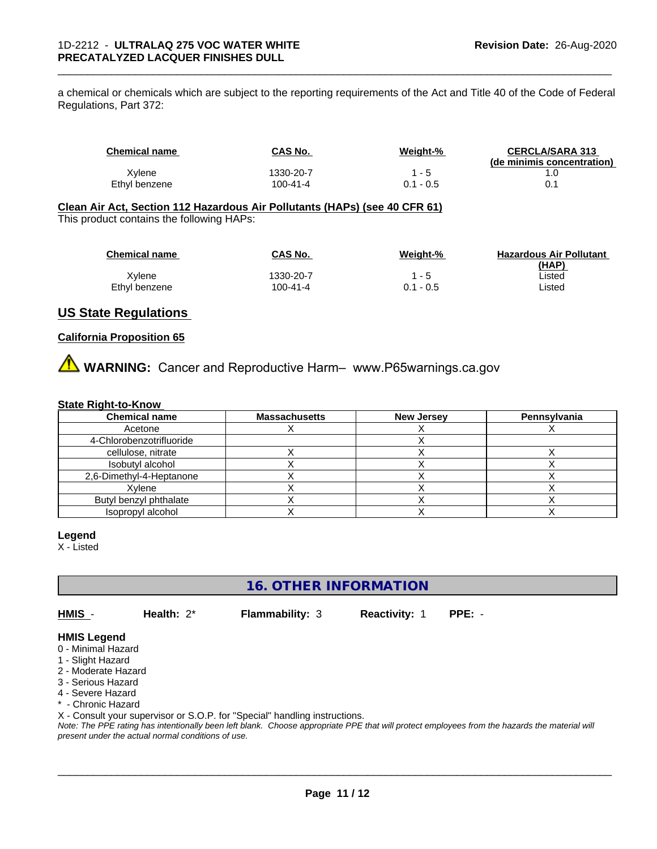a chemical or chemicals which are subject to the reporting requirements of the Act and Title 40 of the Code of Federal Regulations, Part 372:

| <b>Chemical name</b> | <b>CAS No.</b> | Weight-%    | <b>CERCLA/SARA 313</b><br>(de minimis concentration) |
|----------------------|----------------|-------------|------------------------------------------------------|
| Xvlene               | 1330-20-7      | $-5$        |                                                      |
| Ethvl benzene        | 100-41-4       | $0.1 - 0.5$ |                                                      |

\_\_\_\_\_\_\_\_\_\_\_\_\_\_\_\_\_\_\_\_\_\_\_\_\_\_\_\_\_\_\_\_\_\_\_\_\_\_\_\_\_\_\_\_\_\_\_\_\_\_\_\_\_\_\_\_\_\_\_\_\_\_\_\_\_\_\_\_\_\_\_\_\_\_\_\_\_\_\_\_\_\_\_\_\_\_\_\_\_\_\_\_\_

#### **Clean Air Act,Section 112 Hazardous Air Pollutants (HAPs) (see 40 CFR 61)** This product contains the following HAPs:

| <b>Chemical name</b> | CAS No.   | Weight-%    | <b>Hazardous Air Pollutant</b> |
|----------------------|-----------|-------------|--------------------------------|
|                      |           |             | (HAP)                          |
| Xvlene               | 1330-20-7 | 1 - 5       | ∟isted                         |
| Ethyl benzene        | 100-41-4  | $0.1 - 0.5$ | ∟isted                         |

# **US State Regulations**

# **California Proposition 65**

**AVIMARNING:** Cancer and Reproductive Harm– www.P65warnings.ca.gov

#### **State Right-to-Know**

| <b>Chemical name</b>     | <b>Massachusetts</b> | <b>New Jersey</b> | Pennsylvania |
|--------------------------|----------------------|-------------------|--------------|
| Acetone                  |                      |                   |              |
| 4-Chlorobenzotrifluoride |                      |                   |              |
| cellulose, nitrate       |                      |                   |              |
| Isobutyl alcohol         |                      |                   |              |
| 2,6-Dimethyl-4-Heptanone |                      |                   |              |
| Xvlene                   |                      |                   |              |
| Butyl benzyl phthalate   |                      |                   |              |
| Isopropyl alcohol        |                      |                   |              |

#### **Legend**

X - Listed

**16. OTHER INFORMATION**

**HMIS** - **Health:** 2\* **Flammability:** 3 **Reactivity:** 1 **PPE:** -

 $\overline{\phantom{a}}$  ,  $\overline{\phantom{a}}$  ,  $\overline{\phantom{a}}$  ,  $\overline{\phantom{a}}$  ,  $\overline{\phantom{a}}$  ,  $\overline{\phantom{a}}$  ,  $\overline{\phantom{a}}$  ,  $\overline{\phantom{a}}$  ,  $\overline{\phantom{a}}$  ,  $\overline{\phantom{a}}$  ,  $\overline{\phantom{a}}$  ,  $\overline{\phantom{a}}$  ,  $\overline{\phantom{a}}$  ,  $\overline{\phantom{a}}$  ,  $\overline{\phantom{a}}$  ,  $\overline{\phantom{a}}$ 

# **HMIS Legend**

- 0 Minimal Hazard
- 1 Slight Hazard
- 2 Moderate Hazard
- 3 Serious Hazard
- 4 Severe Hazard
- \* Chronic Hazard

X - Consult your supervisor or S.O.P. for "Special" handling instructions.

*Note: The PPE rating has intentionally been left blank. Choose appropriate PPE that will protect employees from the hazards the material will present under the actual normal conditions of use.*